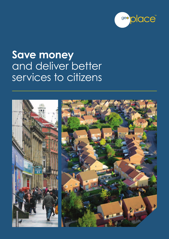

# **Save money**  and deliver better services to citizens

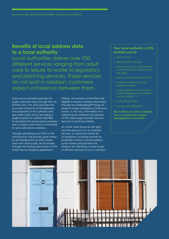### **Benefits of local address data to a local authority**

Local authorities deliver over 700 different services ranging from adult care to leisure to waste to regulatory and planning services. These services do not exist in isolation; customers expect coherence between them.

Many local authorities provide this single corporate view through the use of their LLPG. The LLPG provides the accurate master list of all addresses and properties in the authority and also offers a key link by providing a single property or address identifier. In real terms this means each property has a unique code which is invaluable for accurate service delivery.

Through uploading your LLPG to the national hub, the process goes further by exchanging this location based data with other public sector bodies through the sharing mechanism of the Public Sector Mapping Agreement

(PSMA). All member of the PSMA are eligible to receive address information through the AddressBase™ range of projects made available by Ordnance Survey. In this way, information at a national level underpins the delivery of the wide range of public services beyond council boundaries.

At a time when finances are tight and the pressure is on to maintain services. A corporate master list of addresses, including records for properties without a postal address, saves money and provides the bedrock for delivering a wide range of efficient services to your customers.

### **Your local authority's LLPG enables you to:**

- save money
- deliver better services
- 
- reduce waste and duplication
- enabling evidence based
- making better use of location based intelligence to transform service delivery
- work with partners
- comply with legislation.

**Key to this is your LLPG custodian, who is crucial to the onward management of your LLPG.**

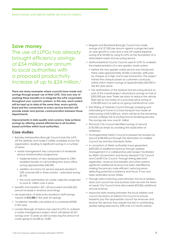### **Save money**

The use of LLPGs has already brought efficiency savings of £54 million per annum to local authorities with a proposed productivity increase of up to £24 million.<sup>1</sup>

**There are many examples where councils have made real savings through proper use of their LLPG. One sure way of realising these benefits is to integrate the LLPG corporately throughout your council's systems. In this way, each system will be kept up to date at the same time, errors quickly fixed and the connections to every service function will provide easier and quicker communication between those departments.**

**Improvements in data quality and currency help achieve savings by offering onward efficiencies in all location based activities within local authorities.**

### **Case studies:**

- Barnsley Metropolitan Borough Council took the LLPG off the desktop and made it widely available across the organisation, leading to significant savings in a number of areas:
	- waste management: key component of wholesale service transformation programme:
		- implementation of new database linked to CRM enabled transfer of call handling from back office saving approximately £40,000
		- addition of e-forms for service requests resulted in 25% channel shift in three months – estimated saving £9,745
		- the route optimisation for waste collection projected to save £1 million over 4 years
- benefits and taxation: £21,145 recovered and £26,625 annual increase in revenue (and rising)
- de-duplication of data entry resulted in staff savings valued at **£12,300** in first year (on-going)
- 'incidental' benefits calculated at a combined £9300 in first year.
- London Borough of Harrow has used its LLPG to underpin a waste management project which will deliver £3.2m savings over 10 years as well as reducing the amount of waste going to landfill by 18.8%
- Reigate and Banstead Borough Council has made savings of £137,000 per annum against a projected year on year growth in costs and a one off capital expense saving of £135,000 by using its LLPG as the foundation of a rationalised waste and recycling service
- Northumberland County Council used its LLPG to underpin the implementation of a new garden waste system
	- before the new garden waste service was introduced there were approximately 20,000 customers. 63% paid by cheque at a high cost to per transaction. The project halved the cheque payers as customers could pay online which meant savings of approximately £50,000 in the first year alone
	- the optimisation of the residual and recycling service as part of this overall project will produce savings on fuel of £202,000 per year. There are plans to reduce the vehicle fleet size by two lorries at a purchase price saving of £100,000 each as well as on-going maintenance costs.
- East Riding of Yorkshire Council through analyzing and rationalising its home to school transport has made an initial saving of £315,000 pa, which will rise as the remaining schools undergo the re-routing and re-tendering process. The savings are now over £1 million
- Plymouth City Council identified savings of around £150,000 pa simply by avoiding the duplication of addresses
- Huntingdonshire District Council increased tax receipts by around £180,000 pa through the elimination of unbilled Council tax and Non-Domestic Rates
- A consortium of Welsh authorities have generated £500,000 of additional revenue through address management in a collaborative pilot project facilitated by Welsh Government and led by Newport City Council and Cardiff City Council. Through linking electoral registration, revenue and benefits and other systems significant additional revenue has been identified by making the process more efficient, reducing errors, detecting potential avoidance and fraud. It has now been extended across Wales.
- Through data matching work between the local address data and council tax and business rates records the team at Leeds City Council have discovered £92,826 additional annual revenue.
- Improved data sharing between the local address and council tax teams at Salford City Council to ensure residents pay the appropriate council tax revenues and receive the services they require has led to outstanding queries being reduced by 43% over a 5 month period.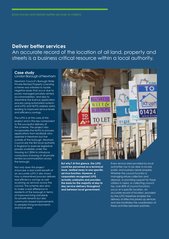### **Deliver better services**

An accurate record of the location of all land, property and streets is a business critical resource within a local authority.

### **Case study**

London Borough of Newham

Newham Council's Borough Wide Private Rented Property Licensing scheme was initiated to tackle negative issues that occur due to poorly managed privately rented accommodation, and also to streamline the licence application process using automated systems and LLPG and NLPG address data, leading to improved service levels and efficiency savings.

The LLPG is at the core of this project and is the key component to the successful delivery of the scheme. The project also incorporates the NLPG to process applications from landlords who operate in Newham but live outside of the borough. Newham Council are the first local authority in England to exercise legislative powers available under the Housing Act 2004 to introduce compulsory licensing of all private rented accommodation across the borough.

Not only does this project showcase a real world benefit of an accurate LLPG it also shows how a streamlined process delivers real efficiency savings as well as joining up services across the council. This scheme also aims to make a real difference to residents of the borough in terms of improved living standards for private tenants but also community based improvements to peoples living environments and local area.



**But why? At first glance, the LLPG could be perceived as a technical issue, nestled away in one specific service function. However, a corporately recognised LLPG actually underpins and provides the basis for the majority of day to day service delivery throughout and between local government.**

Every service area provided by local authorities has to be able to locate public and business needs properly. Whether the council function is managing refuse collection and disposal, or providing support for those citizens in need, or collecting council tax, over 80% of council functions occur at a specific location. An accurate record of location, provided by the LLPG therefore enables the delivery of effective joined up services and also facilitates the coordination of these activities between partners.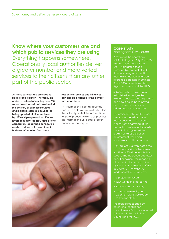# **Know where your customers are and which public services they are using**

Everything happens somewhere. Operationally local authorities deliver a greater number and more varied services to their citizens than any other part of the public sector.

**All these services are provided to people at a location – normally an address. Instead of running over 700 separate address databases behind the delivery of all these services and initiatives across a council, all being updated at different times, by different people and to different levels of quality, the LLPG acts as one corporately recognised connecting master address database. Specific business information from these** 

#### **respective services and initiatives can also be attached to the correct master address.**

This information is kept as accurate and up to date as possible both within the authority and at the AddressBase range of products which also provides the information out to public sector partners in your region.



### **Case study** Nottingham City Council

A review of the operations within Nottingham City Council's Address Management Team (AMT) highlighted that a considerable amount of staff time was being absorbed in maintaining address and cross reference data held in Business Rates, VOA (Valuation Office Agency) systems and the LLPG.

Subsequently, a project was established to analyse the relevant processes, identify waste and ensure consistency in addressing across agencies.

The project confirmed four major areas of waste, all as a result of the introduction of incorrect/ inconsistent addressing at the start of the process. Additionally, consultation suggested the legality of Rates collection enforcement was being

Consequently, a web-based tool was developed which enables frontline staff to interrogate the LLPG to find approved addresses and, if necessary, the reporting of properties for consideration by the AMT. The freedom offered fundamental to this process.

The project achieved:

- £20K worth of direct savings;
- £20K of indirect savings;
- an improvement in, and extension of, service support to frontline staff.

The project succeeded by harnessing the skills and commitment of all those involved in Business Rates, both the Council and the VOA.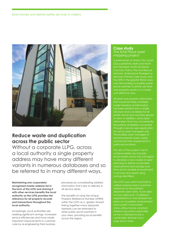

# **Reduce waste and duplication across the public sector**

Without a corporate LLPG, across a local authority a single property address may have many different variants in numerous databases and so be referred to in many different ways.

**Maintaining one corporately recognised master address list in the form of the LLPG and sharing it with other services benefits the local authority as the LLPG provides the reference for all property records and transactions throughout the local authority.** 

Increasingly, local authorities are realising significant savings, increased service efficiencies and have made important improvements in customer care by re-engineering their business

processes by consolidating address information that is key to delivery in all service areas.

The benefits of using the Unique Property Reference Number (UPRN) within the LLPG as a 'golden thread' linking together many disparate datasets can be extended to other public sector partners in your area, providing local benefits across the region.

### **Case study** The Total Place asset mapping project

A partnership of: Bristol City; South Gloucestershire; Bath and North East Somerset; North Somerset Services; Ambulance Emergency the NHS in the greater Bristol area won the funding to enable public and property assets in a smarter, cost effective way.

All asset and property information that would be freely available under Freedom of Information has been plotted onto a single GIS layer and is available for all public sector and voluntary groups to view. In addition, some asset be publicly available is accessed through a secure web application for use by asset managers only. This enables asset managers to record potential surplus assets and record their requirements in particular locations.

The aim of the project was to achieve better use of public sector assets across the sub-region to develop a new model of asset planning to deliver sustainable improvement and savings over time and to enable re-investment in services and assets using savings identified.

The LLPG was used to provide a reference to the partners' disparate asset data. To be able to show data from 13 different organisations in one dataset has been an incredible achievement and couldn't have been done without some common referencing system especially as this is intended to be a snap shot in time.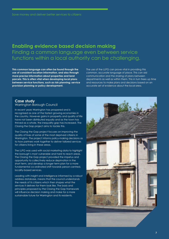# **Enabling evidence based decision making**  Finding a common language even between service functions within a local authority can be challenging.

**This common language can often be found through the use of consistent location information, and also through more precise information about properties and land parcels. This is often vital when developing local plans between service functions, such as risk planning; service provision planning or policy development.**

The use of the LLPG can prove vital in providing this common, accurate language of place. This can aid communication and the sharing of plans between departments as well as within them. This in turn frees up time and resources to make plans and decisions based on an accurate set of evidence about the local area.

### **Case study** Warrington Borough Council

In recent years Warrington has prospered and is recognised as one of the fastest growing economies in the country. However gains in prosperity and quality of life have not been distributed equally and as the town has thrived as a whole, the inequality gap has increased. The Closing the Gap project aims to tackle this.

The Closing the Gap project focuses on improving the quality of lives of some of the most deprived citizens in Warrington. The project informs policy-making decisions as to how partners work together to deliver tailored services for citizens living in these areas.

The LLPG was used with social marketing data to highlight the borough's most vulnerable and hard to reach areas. The Closing the Gap project provided the impetus and opportunity to collectively reduce deprivation in the short term, and develop a longer term plan for a more fundamental co-ordinated shift towards person-centred, locality-based services.

Leading with insight and intelligence informed by a robust address database, means that the council understands the needs of its citizens which then shapes what the services it delivers for them look like. The basis and principles proposed by the Closing the Gap framework will influence decision making and make for a more sustainable future for Warrington and its residents.

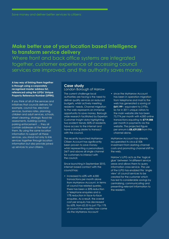# **Make better use of your location based intelligence to transform service delivery**

Where front and back office systems are integrated together, customer experience of accessing council services are improved, and the authority saves money.

**A key way of linking them together is through using a corporately recognised master address list, referenced using the LLPGs' Unique Property Reference Number (UPRN).**

If you think of all of the services and initiatives that councils delivers; for example, council tax, electoral services, business rates, planning, children and adult services, schools, street cleaning, strategic flood risk assessments, building control, parking enforcement … they all contain addresses at the heart of them. By using the same location information to support all these services, you stand not only to link services together through location information but also provide joined up services to your citizens.

### **Case study** London Borough of Harrow

The current challenge local authorities are facing is the need to deliver quality services on reduced budgets, whilst actively meeting residents' needs. Channel migration to the web represents an immense opportunity to save money. Borough wide research facilitated by Experian Customer Insight data highlighting two evident trends: 82% of residents have access to the internet and have a strong desire to transact with the council.

The recently launched MyHarrow Citizen Account has significantly been proven to save money whilst representing a personalised, 24/7 and above all single channel for customers to interact with the council.

Since launching in September 2010, internet based contact with the council has;

• increased to 62% with 4,000 transactions per month alone from MyHarrow Account. In terms of council tax related queries, there has been a 30% reduction in telephone enquiries and a 17% reduction in face-to-face enquiries. As a result, the overall cost per enquiry has decreased by 65%, from £2.33 to just 77p.11% of council tax enquiries now come via the MyHarrow Account

• since the MyHarrow Account has been in operation migration from telephone and mail to the web has generated a saving of **£69,199** – equivalent to 2 FTEs. So far in 2011 unique visitors to the main website site has been 73,774 per month with 4,000 online transactions equating to **£719,088** per month in payments via the website. The projected figure per annum is **£8,629,058** from this channel alone.

MyHarrow Account has already recuperated its circa £150k investment from slashing channel costs and promoting channel shift to the web.

Harrow's LLPG acts as the 'logical glue' between 14 different service areas and allows them to query information cross-service. The use of the LLPG has enabled this 'single view' of council services to be created for the customer which has led to considerable savings by centralising, communicating and presenting relevant information to the resident.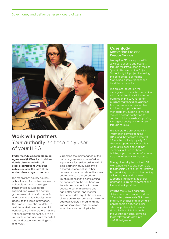

# **Work with partners**  Your authority isn't the only user of your LLPG.

**Under the Public Sector Mapping Agreement (PSMA), local address data is also shared with all other organisations within the public sector in the form of the AddressBase range of products.** 

This means that county councils, police forces, fire and rescue service, national parks and passenger transport executives across England and Wales plus central government, NHS, parish councils and some voluntary bodies have access to the same information. The products are also available to a wider market on a commercial basis also. It is vital therefore that the national gazetteers continue to be a complete and accurate record of land and property across England and Wales.

Supporting the maintenance of the national gazetteers is also of wider importance for service delivery within local partnerships. By supporting a shared service culture, other partners can use and share the same address data. A shared address structure benefits the participating organisations on the one hand as they share consistent data, have access to out of area data and can better control and monitor their service delivery. It also ensures citizens are served better as the same address structure is used for all the transactions which reduces errors, inconsistencies and duplication.

#### **Case study** Merseyside Fire and Rescue Service

Merseyside FRS has improved its through the introduction of the Site Specific Risk Information Project. Strategically this project is meeting the core purpose of making Merseyside a safer, stronger and healthier community.

The project focuses on the management of key risk information, which is address based. It uses and builds upon the LLPG to identify buildings that should be assessed from a commercial perspective to inform its approach to risk management. In doing so this has reduced costs in not having to recollect data, as well as improving the original quality of the dataset through its reuse.

Fire fighters, are presented with LLPG, and they collate further risk directly supports fire fighter safety; location it outlines key hazards, building layout and other information held that assists in their response.

Through the adoption of the LLPG, Merseyside FRS has also been able tion providing a richer understanding of the property and has also supported significantly its overall approach to risk management and the services it provides.

By using the LLPG, a nationally defined standard around address information, Merseyside FRS knows that if further additional information can be shared between other relevant partners that there is a strong likelihood that through the UPRN it can easily combine useful intelligence.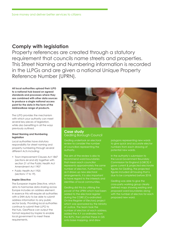# **Comply with legislation**

Property references are created through a statutory requirement that councils name streets and properties. This Street Naming and Numbering information is recorded in the LLPGs and are given a national Unique Property Reference Number (UPRN).

**All local authorities upload their LLPG to a national hub based on agreed standards and processes where they are combined with other data sources to produce a single national access point for the data in the form of the AddressBase range of products.** 

The LLPG provides the mechanism with which your authority can meet several key pieces of legislation, while also benefiting in all the ways previously outlined.

### **Street Naming and Numbering legislation**

Local authorities have statutory responsibility for street naming and property numbering through several different Acts including:

- Town Improvement Clauses Act 1847 (sections 64 and 65) together with section 21 of the Public Health Act Amendment Act 1907
- Public Health Act 1925 (sections 17 to 19).

#### **Inspire Directive**

The European Inspire Directive, which aims to harmonise data sharing across Europe includes an address element. In essence this will require all authorities with a SNN duty to be able to submit address information to any public sector body. Providing local authorities continue to submit their LLPG to the hub, GeoPlace can output the format required by Inspire to enable local government to meet these requirements.



### **Case study** Gedling Borough Council

Gedling undertook an electoral review to consider the number of councillors representing the authority.

recommend ward boundaries that mean each councillor represents approximately the same as it draws up new electoral arrangements, it is also important to have regard to the interests and

Gedling did this by utilising the power of the UPRN which had been added to the electoral registe during the CORE (Co-ordinated On-line Register of Electors) project number of electors at each address, added the X,Y co-ordinates from onto base mapping, and drew

polygons representing new wards to give quick and accurate elector numbers from each drawing of potential new wards.

the Local Government Boundary Commission for England (LGBCE) it gave current & projected electorate figures for Gedling, the projected figures included all housing that is

Gedling was able to give the cross-party working group clearly defined maps showing existing and proposed ward boundaries along proposed new ward.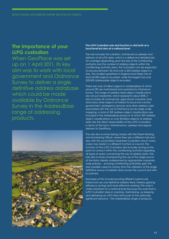# **The importance of your LLPG custodian**

When GeoPlace was set up on 1 April 2011, its key aim was to work with local government and Ordnance Survey to deliver a single definitive address database which could be made available by Ordnance Survey in the AddressBase range of addressing products.



#### **The LLPG Custodian role and function is vital both at a local level but also at a national level.**

The role includes the creation, maintenance upkeep and delivery of all LLPG data, which is a skilled and detailed job. On average depending upon the size of the contributing authority and the number of address objects within the contributing authority area, the Custodian can be expected to process between 30 and over a 200 address objects a day. The smallest gazetteer in England and Wales has at least 60,000 objects recorded, while the largest has over 200,000 addressable objects recorded.

There are over 31million objects in AddressBase of which around 3% are maintained and updated by Ordnance Survey. The range of address data object classifications are not just residential, which represents about 80%, it also includes all commercial, agricultural, industrial, land and many other objects of interest to local and central government, emergency services and other address users associated with the use of Ordnance Survey large scale mapping. A total of 559 address object classifications are included in the AddressBase products of which 459 address object classifications or over 30million objects of address data are the direct responsibility of the LLPG Custodian in terms of the input, maintenance, upkeep and regular delivery to GeoPlace.

The role also involves liaising closely with the Street Naming and Numbering Officer, where they are a different role and also with the Local Street Gazetteer Custodian who in many cases may reside in a different function or council. The function of the LLPG Custodian also includes acting as the point of contact within the contributing authority regarding all types of query concerning the use of address data. The role also involves championing the use of the single source of the data, ideally underpinned by appropriate corporate wide policies, – ensuring contributing authorities gain the best possible value for money from the utilisation of this single definitive source of address data across the council and with its partners.

Examples of this include ensuring different systems are linked and use one definitive address feed, thereby gaining efficiency savings and more effective working. This work is vitally important at a national level because the work that a LLPG Custodian does in creating, maintaining, up keeping and delivering an LLPG then forms part of the nationally significant resource – the AddressBase range of products.